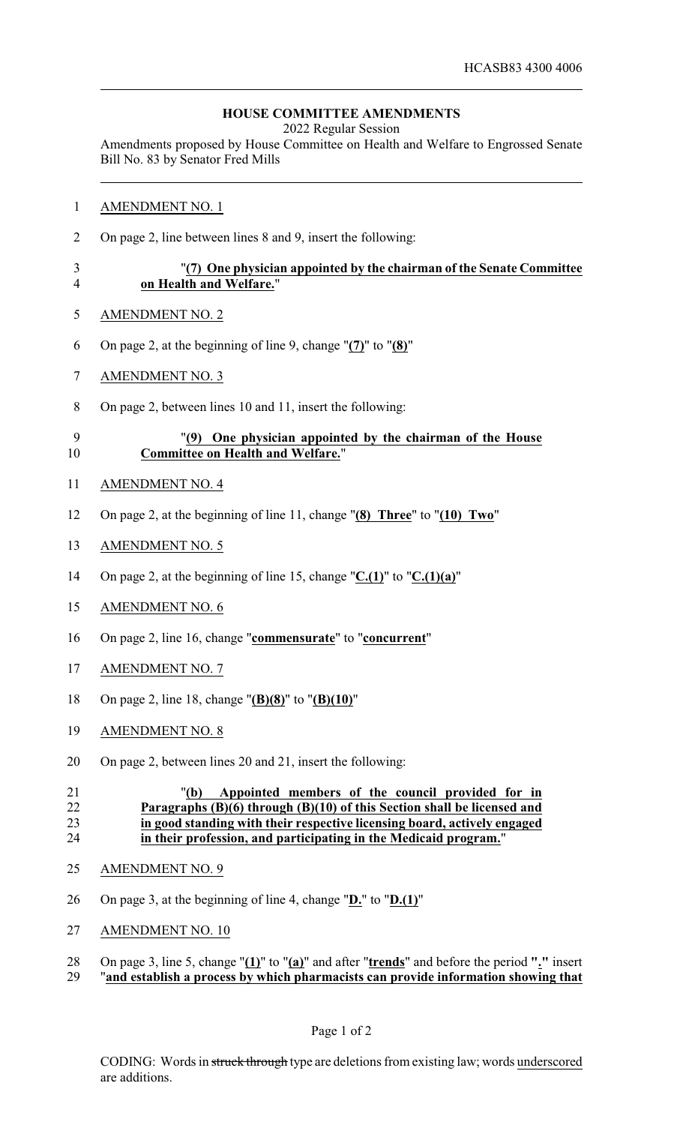### **HOUSE COMMITTEE AMENDMENTS**

2022 Regular Session

Amendments proposed by House Committee on Health and Welfare to Engrossed Senate Bill No. 83 by Senator Fred Mills

- AMENDMENT NO. 1
- On page 2, line between lines 8 and 9, insert the following:

### "**(7) One physician appointed by the chairman of the Senate Committee on Health and Welfare.**"

- AMENDMENT NO. 2
- On page 2, at the beginning of line 9, change "**(7)**" to "**(8)**"
- AMENDMENT NO. 3
- On page 2, between lines 10 and 11, insert the following:

# "**(9) One physician appointed by the chairman of the House Committee on Health and Welfare.**"

- AMENDMENT NO. 4
- On page 2, at the beginning of line 11, change "**(8) Three**" to "**(10) Two**"
- AMENDMENT NO. 5
- On page 2, at the beginning of line 15, change "**C.(1)**" to "**C.(1)(a)**"
- AMENDMENT NO. 6
- On page 2, line 16, change "**commensurate**" to "**concurrent**"
- AMENDMENT NO. 7
- On page 2, line 18, change "**(B)(8)**" to "**(B)(10)**"
- AMENDMENT NO. 8
- On page 2, between lines 20 and 21, insert the following:

### "**(b) Appointed members of the council provided for in Paragraphs (B)(6) through (B)(10) of this Section shall be licensed and in good standing with their respective licensing board, actively engaged in their profession, and participating in the Medicaid program.**"

- AMENDMENT NO. 9
- On page 3, at the beginning of line 4, change "**D.**" to "**D.(1)**"
- AMENDMENT NO. 10
- On page 3, line 5, change "**(1)**" to "**(a)**" and after "**trends**" and before the period **"."** insert
- "**and establish a process by which pharmacists can provide information showing that**